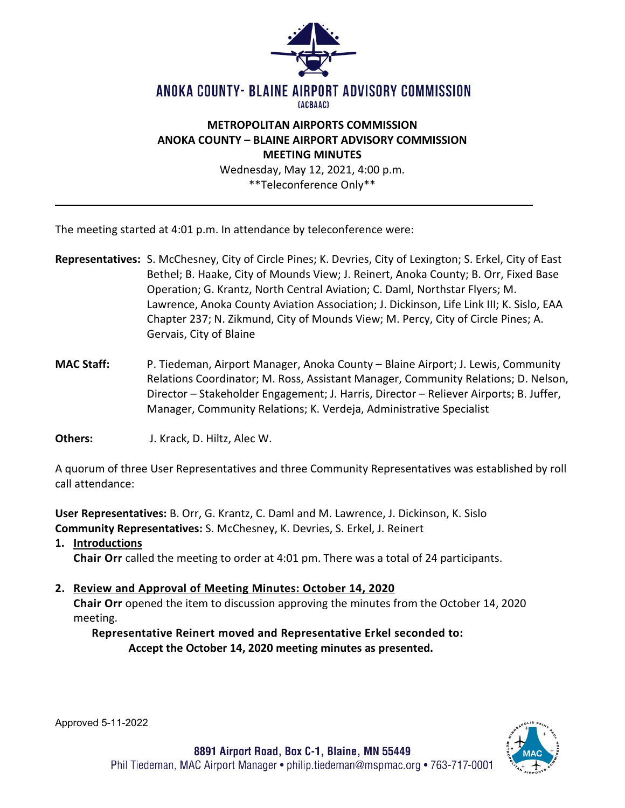

#### ANOKA COUNTY- BLAINE AIRPORT ADVISORY COMMISSION **TACBAAC1**

## **METROPOLITAN AIRPORTS COMMISSION ANOKA COUNTY – BLAINE AIRPORT ADVISORY COMMISSION MEETING MINUTES**

Wednesday, May 12, 2021, 4:00 p.m. \*\*Teleconference Only\*\*

The meeting started at 4:01 p.m. In attendance by teleconference were:

- **Representatives:** S. McChesney, City of Circle Pines; K. Devries, City of Lexington; S. Erkel, City of East Bethel; B. Haake, City of Mounds View; J. Reinert, Anoka County; B. Orr, Fixed Base Operation; G. Krantz, North Central Aviation; C. Daml, Northstar Flyers; M. Lawrence, Anoka County Aviation Association; J. Dickinson, Life Link III; K. Sislo, EAA Chapter 237; N. Zikmund, City of Mounds View; M. Percy, City of Circle Pines; A. Gervais, City of Blaine
- **MAC Staff:** P. Tiedeman, Airport Manager, Anoka County Blaine Airport; J. Lewis, Community Relations Coordinator; M. Ross, Assistant Manager, Community Relations; D. Nelson, Director – Stakeholder Engagement; J. Harris, Director – Reliever Airports; B. Juffer, Manager, Community Relations; K. Verdeja, Administrative Specialist
- **Others:** J. Krack, D. Hiltz, Alec W.

A quorum of three User Representatives and three Community Representatives was established by roll call attendance:

**User Representatives:** B. Orr, G. Krantz, C. Daml and M. Lawrence, J. Dickinson, K. Sislo **Community Representatives:** S. McChesney, K. Devries, S. Erkel, J. Reinert

**1. Introductions**

**Chair Orr** called the meeting to order at 4:01 pm. There was a total of 24 participants.

# **2. Review and Approval of Meeting Minutes: October 14, 2020**

**Chair Orr** opened the item to discussion approving the minutes from the October 14, 2020 meeting.

# **Representative Reinert moved and Representative Erkel seconded to: Accept the October 14, 2020 meeting minutes as presented.**



Approved 5-11-2022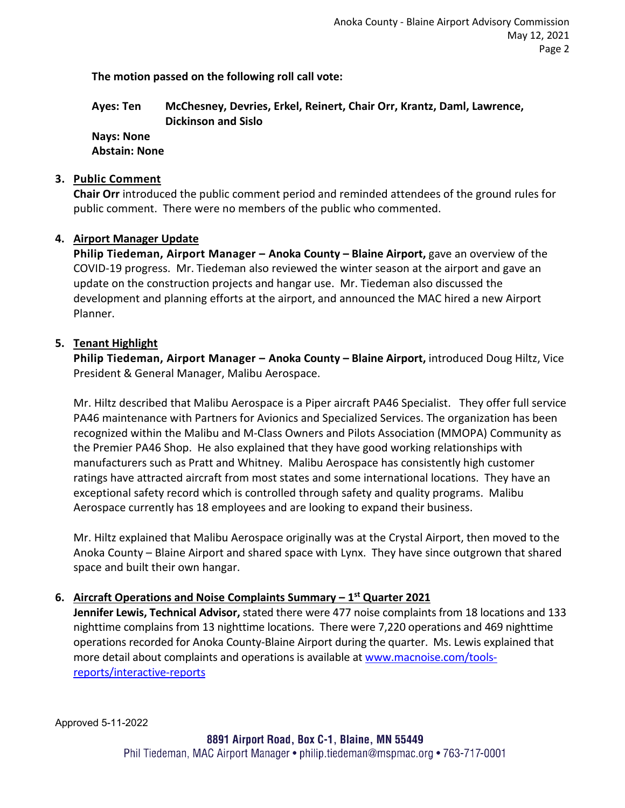**The motion passed on the following roll call vote:** 

**Ayes: Ten McChesney, Devries, Erkel, Reinert, Chair Orr, Krantz, Daml, Lawrence, Dickinson and Sislo**

**Nays: None**

**Abstain: None** 

#### **3. Public Comment**

**Chair Orr** introduced the public comment period and reminded attendees of the ground rules for public comment. There were no members of the public who commented.

### **4. Airport Manager Update**

**Philip Tiedeman, Airport Manager – Anoka County – Blaine Airport, gave an overview of the** COVID-19 progress. Mr. Tiedeman also reviewed the winter season at the airport and gave an update on the construction projects and hangar use. Mr. Tiedeman also discussed the development and planning efforts at the airport, and announced the MAC hired a new Airport Planner.

#### **5. Tenant Highlight**

**Philip Tiedeman, Airport Manager – Anoka County – Blaine Airport,** introduced Doug Hiltz, Vice President & General Manager, Malibu Aerospace.

Mr. Hiltz described that Malibu Aerospace is a Piper aircraft PA46 Specialist. They offer full service PA46 maintenance with Partners for Avionics and Specialized Services. The organization has been recognized within the Malibu and M-Class Owners and Pilots Association (MMOPA) Community as the Premier PA46 Shop. He also explained that they have good working relationships with manufacturers such as Pratt and Whitney. Malibu Aerospace has consistently high customer ratings have attracted aircraft from most states and some international locations. They have an exceptional safety record which is controlled through safety and quality programs. Malibu Aerospace currently has 18 employees and are looking to expand their business.

Mr. Hiltz explained that Malibu Aerospace originally was at the Crystal Airport, then moved to the Anoka County – Blaine Airport and shared space with Lynx. They have since outgrown that shared space and built their own hangar.

### **6. Aircraft Operations and Noise Complaints Summary – 1st Quarter 2021**

**Jennifer Lewis, Technical Advisor,** stated there were 477 noise complaints from 18 locations and 133 nighttime complains from 13 nighttime locations. There were 7,220 operations and 469 nighttime operations recorded for Anoka County-Blaine Airport during the quarter. Ms. Lewis explained that more detail about complaints and operations is available a[t www.macnoise.com/tools](http://www.macnoise.com/tools-reports/interactive-reports)[reports/interactive-reports](http://www.macnoise.com/tools-reports/interactive-reports) 

Approved 5-11-2022